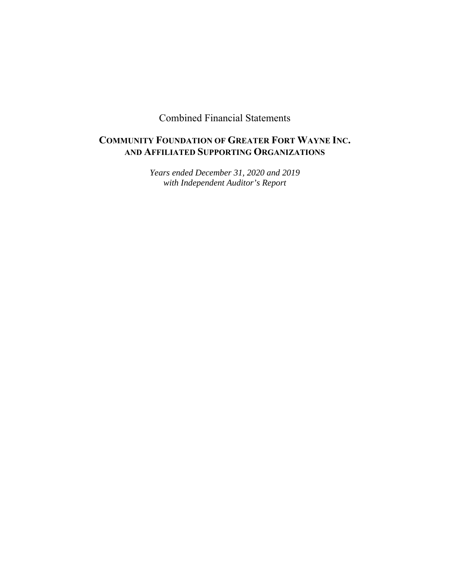Combined Financial Statements

# **COMMUNITY FOUNDATION OF GREATER FORT WAYNE INC. AND AFFILIATED SUPPORTING ORGANIZATIONS**

*Years ended December 31, 2020 and 2019 with Independent Auditor's Report*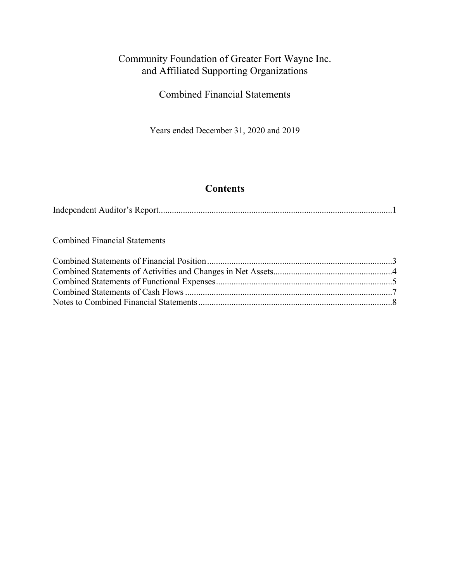Combined Financial Statements

Years ended December 31, 2020 and 2019

# **Contents**

|--|--|

Combined Financial Statements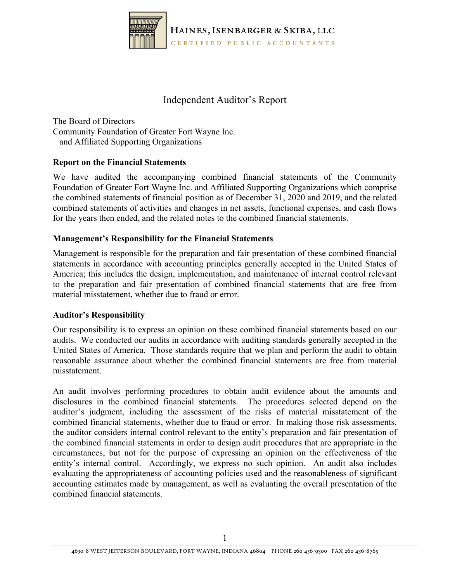

# Independent Auditor's Report

The Board of Directors Community Foundation of Greater Fort Wayne Inc. and Affiliated Supporting Organizations

### **Report on the Financial Statements**

We have audited the accompanying combined financial statements of the Community Foundation of Greater Fort Wayne Inc. and Affiliated Supporting Organizations which comprise the combined statements of financial position as of December 31, 2020 and 2019, and the related combined statements of activities and changes in net assets, functional expenses, and cash flows for the years then ended, and the related notes to the combined financial statements.

### **Management's Responsibility for the Financial Statements**

Management is responsible for the preparation and fair presentation of these combined financial statements in accordance with accounting principles generally accepted in the United States of America; this includes the design, implementation, and maintenance of internal control relevant to the preparation and fair presentation of combined financial statements that are free from material misstatement, whether due to fraud or error.

### **Auditor's Responsibility**

Our responsibility is to express an opinion on these combined financial statements based on our audits. We conducted our audits in accordance with auditing standards generally accepted in the United States of America. Those standards require that we plan and perform the audit to obtain reasonable assurance about whether the combined financial statements are free from material misstatement.

An audit involves performing procedures to obtain audit evidence about the amounts and disclosures in the combined financial statements. The procedures selected depend on the auditor's judgment, including the assessment of the risks of material misstatement of the combined financial statements, whether due to fraud or error. In making those risk assessments, the auditor considers internal control relevant to the entity's preparation and fair presentation of the combined financial statements in order to design audit procedures that are appropriate in the circumstances, but not for the purpose of expressing an opinion on the effectiveness of the entity's internal control. Accordingly, we express no such opinion. An audit also includes evaluating the appropriateness of accounting policies used and the reasonableness of significant accounting estimates made by management, as well as evaluating the overall presentation of the combined financial statements.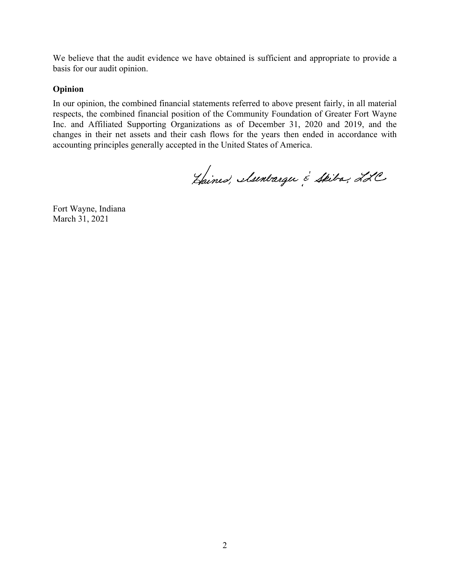We believe that the audit evidence we have obtained is sufficient and appropriate to provide a basis for our audit opinion.

#### **Opinion**

In our opinion, the combined financial statements referred to above present fairly, in all material respects, the combined financial position of the Community Foundation of Greater Fort Wayne Inc. and Affiliated Supporting Organizations as of December 31, 2020 and 2019, and the changes in their net assets and their cash flows for the years then ended in accordance with accounting principles generally accepted in the United States of America.

Haines, Muntarge & Skiba, LLC

Fort Wayne, Indiana March 31, 2021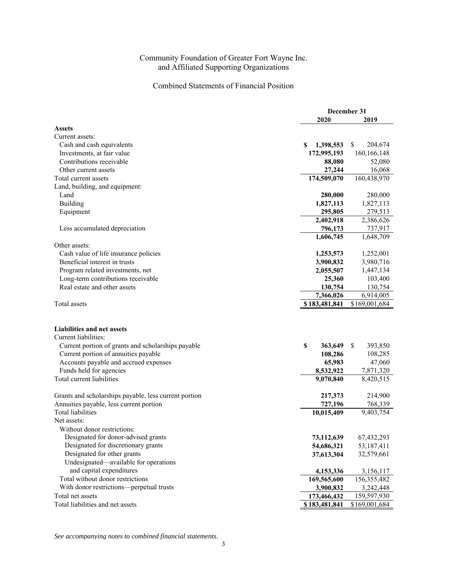### Combined Statements of Financial Position

|                                                              | December 31    |               |  |
|--------------------------------------------------------------|----------------|---------------|--|
|                                                              | 2020           | 2019          |  |
| <b>Assets</b>                                                |                |               |  |
| Current assets:                                              |                |               |  |
| Cash and cash equivalents                                    | S<br>1,398,553 | \$<br>204,674 |  |
| Investments, at fair value                                   | 172,995,193    | 160, 166, 148 |  |
| Contributions receivable                                     | 88,080         | 52,080        |  |
| Other current assets                                         | 27,244         | 16,068        |  |
| Total current assets                                         | 174,509,070    | 160,438,970   |  |
| Land, building, and equipment:                               |                |               |  |
| Land                                                         | 280,000        | 280,000       |  |
| Building                                                     | 1,827,113      | 1,827,113     |  |
| Equipment                                                    | 295,805        | 279,513       |  |
|                                                              | 2,402,918      | 2,386,626     |  |
| Less accumulated depreciation                                | 796,173        | 737,917       |  |
|                                                              | 1,606,745      | 1,648,709     |  |
| Other assets:                                                |                |               |  |
| Cash value of life insurance policies                        | 1,253,573      | 1,252,001     |  |
| Beneficial interest in trusts                                | 3,900,832      | 3,980,716     |  |
| Program related investments, net                             | 2,055,507      | 1,447,134     |  |
| Long-term contributions receivable                           | 25,360         | 103,400       |  |
| Real estate and other assets                                 | 130,754        | 130,754       |  |
|                                                              | 7,366,026      | 6,914,005     |  |
| Total assets                                                 | \$183,481,841  | \$169,001,684 |  |
| <b>Liabilities and net assets</b>                            |                |               |  |
| Current liabilities:                                         |                |               |  |
| Current portion of grants and scholarships payable           | \$<br>363,649  | S<br>393,850  |  |
| Current portion of annuities payable                         | 108,286        | 108,285       |  |
| Accounts payable and accrued expenses                        | 65,983         | 47,060        |  |
| Funds held for agencies                                      | 8,532,922      | 7,871,320     |  |
| Total current liabilities                                    | 9,070,840      | 8,420,515     |  |
|                                                              |                |               |  |
| Grants and scholarships payable, less current portion        | 217,373        | 214,900       |  |
| Annuities payable, less current portion                      | 727,196        | 768,339       |  |
| <b>Total liabilities</b><br>Net assets:                      | 10,015,409     | 9,403,754     |  |
| Without donor restrictions:                                  |                |               |  |
| Designated for donor-advised grants                          |                |               |  |
| Designated for discretionary grants                          | 73,112,639     | 67,432,293    |  |
| Designated for other grants                                  | 54,686,321     | 53,187,411    |  |
| Undesignated—available for operations                        | 37,613,304     | 32,579,661    |  |
|                                                              |                |               |  |
| and capital expenditures<br>Total without donor restrictions | 4,153,336      | 3,156,117     |  |
|                                                              | 169,565,600    | 156,355,482   |  |
| With donor restrictions—perpetual trusts                     | 3,900,832      | 3,242,448     |  |
| Total net assets                                             | 173,466,432    | 159,597,930   |  |
| Total liabilities and net assets                             | \$183,481,841  | \$169,001,684 |  |

*See accompanying notes to combined financial statements.*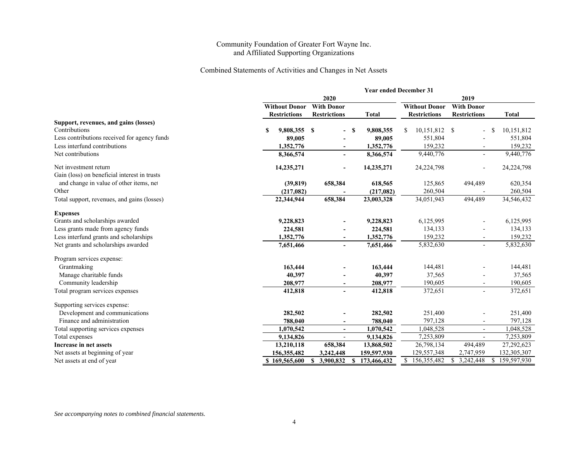#### Combined Statements of Activities and Changes in Net Assets

|                                              | <b>Year ended December 31</b>             |                          |   |              |                      |                     |                  |
|----------------------------------------------|-------------------------------------------|--------------------------|---|--------------|----------------------|---------------------|------------------|
|                                              | 2020                                      |                          |   |              |                      |                     |                  |
|                                              | <b>With Donor</b><br><b>Without Donor</b> |                          |   |              | <b>Without Donor</b> | <b>With Donor</b>   |                  |
|                                              | <b>Restrictions</b>                       | <b>Restrictions</b>      |   | <b>Total</b> | <b>Restrictions</b>  | <b>Restrictions</b> | <b>Total</b>     |
| Support, revenues, and gains (losses)        |                                           |                          |   |              |                      |                     |                  |
| Contributions                                | S<br>9,808,355                            | -S                       | S | 9,808,355    | 10,151,812 \$<br>S   |                     | 10,151,812<br>-S |
| Less contributions received for agency funds | 89,005                                    |                          |   | 89,005       | 551,804              |                     | 551,804          |
| Less interfund contributions                 | 1,352,776                                 |                          |   | 1,352,776    | 159,232              |                     | 159,232          |
| Net contributions                            | 8,366,574                                 | $\overline{a}$           |   | 8,366,574    | 9,440,776            | $\blacksquare$      | 9,440,776        |
| Net investment return                        | 14,235,271                                |                          |   | 14,235,271   | 24,224,798           |                     | 24,224,798       |
| Gain (loss) on beneficial interest in trusts |                                           |                          |   |              |                      |                     |                  |
| and change in value of other items, net      | (39, 819)                                 | 658,384                  |   | 618,565      | 125,865              | 494,489             | 620,354          |
| Other                                        | (217,082)                                 |                          |   | (217,082)    | 260,504              |                     | 260,504          |
| Total support, revenues, and gains (losses)  | 22,344,944                                | 658,384                  |   | 23,003,328   | 34,051,943           | 494,489             | 34,546,432       |
| <b>Expenses</b>                              |                                           |                          |   |              |                      |                     |                  |
| Grants and scholarships awarded              | 9,228,823                                 |                          |   | 9,228,823    | 6,125,995            |                     | 6,125,995        |
| Less grants made from agency funds           | 224,581                                   |                          |   | 224,581      | 134,133              |                     | 134,133          |
| Less interfund grants and scholarships       | 1,352,776                                 |                          |   | 1,352,776    | 159,232              |                     | 159,232          |
| Net grants and scholarships awarded          | 7,651,466                                 |                          |   | 7,651,466    | 5,832,630            | $\blacksquare$      | 5,832,630        |
| Program services expense:                    |                                           |                          |   |              |                      |                     |                  |
| Grantmaking                                  | 163,444                                   |                          |   | 163,444      | 144,481              |                     | 144,481          |
| Manage charitable funds                      | 40,397                                    |                          |   | 40,397       | 37,565               |                     | 37,565           |
| Community leadership                         | 208,977                                   | $\overline{\phantom{a}}$ |   | 208,977      | 190,605              |                     | 190,605          |
| Total program services expenses              | 412,818                                   | $\overline{a}$           |   | 412,818      | 372,651              | $\overline{a}$      | 372,651          |
| Supporting services expense:                 |                                           |                          |   |              |                      |                     |                  |
| Development and communications               | 282,502                                   |                          |   | 282,502      | 251,400              |                     | 251,400          |
| Finance and administration                   | 788,040                                   |                          |   | 788,040      | 797,128              |                     | 797,128          |
| Total supporting services expenses           | 1,070,542                                 | $\blacksquare$           |   | 1,070,542    | 1,048,528            | $\overline{a}$      | 1,048,528        |
| Total expenses                               | 9,134,826                                 | $\blacksquare$           |   | 9,134,826    | 7,253,809            |                     | 7,253,809        |
| Increase in net assets                       | 13,210,118                                | 658,384                  |   | 13,868,502   | 26,798,134           | 494,489             | 27,292,623       |
| Net assets at beginning of year              | 156,355,482                               | 3,242,448                |   | 159,597,930  | 129,557,348          | 2,747,959           | 132,305,307      |
| Net assets at end of year                    | \$169,565,600                             | 3,900,832                | S | 173,466,432  | S.<br>156,355,482    | 3,242,448           | 159,597,930      |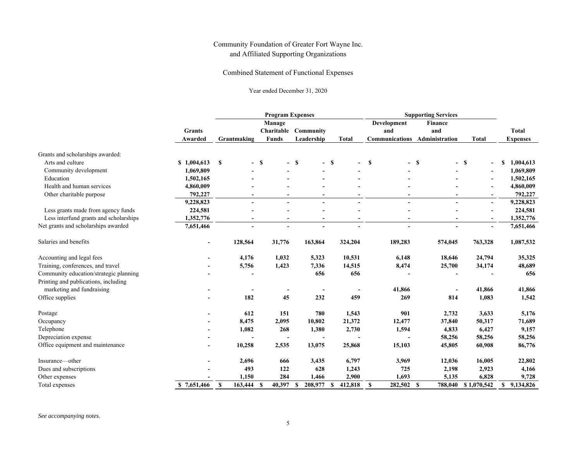Combined Statement of Functional Expenses

Year ended December 31, 2020

|                                        |                          | <b>Program Expenses</b> |                          |                     |                     | <b>Supporting Services</b> |                          |                          |                 |
|----------------------------------------|--------------------------|-------------------------|--------------------------|---------------------|---------------------|----------------------------|--------------------------|--------------------------|-----------------|
|                                        |                          |                         | Manage                   |                     |                     | Development                | Finance                  |                          |                 |
|                                        | <b>Grants</b>            |                         | Charitable               | Community           |                     | and                        | and                      |                          | <b>Total</b>    |
|                                        | Awarded                  | Grantmaking             | <b>Funds</b>             | Leadership          | <b>Total</b>        | <b>Communications</b>      | Administration           | Total                    | <b>Expenses</b> |
| Grants and scholarships awarded:       |                          |                         |                          |                     |                     |                            |                          |                          |                 |
| Arts and culture                       | \$1,004,613              | S                       | $-$ \$<br>$\sim$         | <b>S</b>            | $-$ \$              | S<br>$\blacksquare$        | -S<br>$\blacksquare$     | <b>S</b>                 | 1,004,613<br>S  |
| Community development                  | 1,069,809                |                         |                          |                     |                     |                            |                          |                          | 1,069,809       |
| Education                              | 1,502,165                |                         |                          |                     |                     |                            |                          | $\overline{\phantom{a}}$ | 1,502,165       |
| Health and human services              | 4,860,009                |                         |                          |                     |                     |                            |                          | $\overline{\phantom{a}}$ | 4,860,009       |
| Other charitable purpose               | 792,227                  |                         |                          |                     |                     |                            |                          | $\blacksquare$           | 792,227         |
|                                        | 9,228,823                | $\blacksquare$          |                          | $\blacksquare$      | $\blacksquare$      |                            | $\blacksquare$           | $\sim$                   | 9,228,823       |
| Less grants made from agency funds     | 224,581                  |                         |                          |                     |                     |                            |                          | $\sim$                   | 224,581         |
| Less interfund grants and scholarships | 1,352,776                |                         |                          |                     |                     |                            | $\sim$                   | $\blacksquare$           | 1,352,776       |
| Net grants and scholarships awarded    | 7,651,466                |                         |                          |                     |                     |                            |                          | $\overline{a}$           | 7,651,466       |
| Salaries and benefits                  | $\blacksquare$           | 128,564                 | 31,776                   | 163,864             | 324,204             | 189,283                    | 574,045                  | 763,328                  | 1,087,532       |
| Accounting and legal fees              |                          | 4,176                   | 1,032                    | 5,323               | 10,531              | 6,148                      | 18,646                   | 24,794                   | 35,325          |
| Training, conferences, and travel      |                          | 5,756                   | 1,423                    | 7,336               | 14,515              | 8,474                      | 25,700                   | 34,174                   | 48,689          |
| Community education/strategic planning |                          |                         |                          | 656                 | 656                 |                            |                          |                          | 656             |
| Printing and publications, including   |                          |                         |                          |                     |                     |                            |                          |                          |                 |
| marketing and fundraising              |                          |                         | $\overline{\phantom{a}}$ | $\blacksquare$      |                     | 41,866                     | $\overline{\phantom{a}}$ | 41,866                   | 41,866          |
| Office supplies                        |                          | 182                     | 45                       | 232                 | 459                 | 269                        | 814                      | 1,083                    | 1,542           |
| Postage                                |                          | 612                     | 151                      | 780                 | 1,543               | 901                        | 2,732                    | 3,633                    | 5,176           |
| Occupancy                              |                          | 8,475                   | 2,095                    | 10,802              | 21,372              | 12,477                     | 37,840                   | 50,317                   | 71,689          |
| Telephone                              |                          | 1,082                   | 268                      | 1,380               | 2,730               | 1,594                      | 4,833                    | 6,427                    | 9,157           |
| Depreciation expense                   |                          |                         |                          |                     |                     |                            | 58,256                   | 58,256                   | 58,256          |
| Office equipment and maintenance       | $\overline{\phantom{a}}$ | 10,258                  | 2,535                    | 13,075              | 25,868              | 15,103                     | 45,805                   | 60,908                   | 86,776          |
| Insurance—other                        |                          | 2,696                   | 666                      | 3,435               | 6,797               | 3,969                      | 12,036                   | 16,005                   | 22,802          |
| Dues and subscriptions                 |                          | 493                     | 122                      | 628                 | 1,243               | 725                        | 2,198                    | 2,923                    | 4,166           |
| Other expenses                         |                          | 1,150                   | 284                      | 1,466               | 2,900               | 1,693                      | 5,135                    | 6,828                    | 9,728           |
| Total expenses                         | \$7.651,466              | $\mathbf{s}$<br>163,444 | 40,397<br><b>S</b>       | <b>S</b><br>208,977 | 412,818<br><b>S</b> | S<br>282,502 \$            | 788,040                  | \$1,070,542              | \$9,134,826     |

*See accompanying notes.*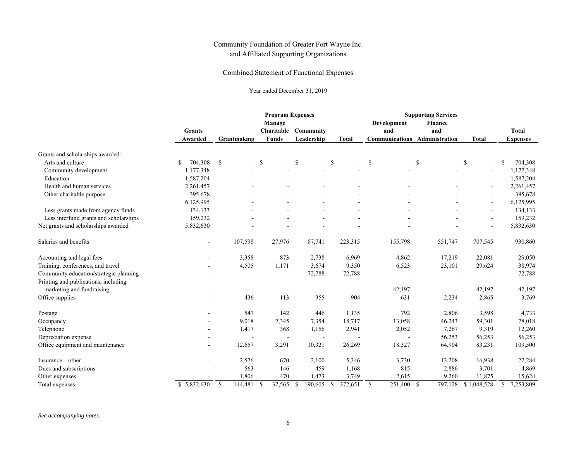Combined Statement of Functional Expenses

Year ended December 31, 2019

|                                        |                          | <b>Program Expenses</b> |                  |                 |               | <b>Supporting Services</b> |                      |                          |                          |
|----------------------------------------|--------------------------|-------------------------|------------------|-----------------|---------------|----------------------------|----------------------|--------------------------|--------------------------|
|                                        |                          |                         | Manage           |                 |               | <b>Development</b>         | Finance              |                          |                          |
|                                        | <b>Grants</b>            |                         | Charitable       | Community       |               | and                        | and                  |                          | <b>Total</b>             |
|                                        | Awarded                  | Grantmaking             | <b>Funds</b>     | Leadership      | <b>Total</b>  | <b>Communications</b>      | Administration       | <b>Total</b>             | <b>Expenses</b>          |
| Grants and scholarships awarded:       |                          |                         |                  |                 |               |                            |                      |                          |                          |
| Arts and culture                       | 704,308<br>S             | \$                      | $-$ \$<br>$\sim$ | <sup>S</sup>    | $-$ \$        | \$<br>$\sim$               | -S<br>$\blacksquare$ | - \$<br>$\blacksquare$   | <sup>\$</sup><br>704,308 |
| Community development                  | 1,177,348                |                         |                  |                 |               |                            |                      | $\blacksquare$           | 1,177,348                |
| Education                              | 1,587,204                |                         |                  |                 |               |                            |                      | $\blacksquare$           | 1,587,204                |
| Health and human services              | 2,261,457                |                         |                  |                 |               |                            |                      | $\blacksquare$           | 2,261,457                |
| Other charitable purpose               | 395,678                  |                         |                  |                 |               |                            |                      |                          | 395,678                  |
|                                        | 6,125,995                |                         | $\sim$           | $\sim$          | $\sim$        |                            | $\sim$               | $\sim$                   | 6,125,995                |
| Less grants made from agency funds     | 134,133                  |                         |                  |                 |               |                            |                      | $\blacksquare$           | 134,133                  |
| Less interfund grants and scholarships | 159,232                  |                         |                  |                 |               |                            |                      | $\overline{\phantom{a}}$ | 159,232                  |
| Net grants and scholarships awarded    | 5,832,630                |                         |                  |                 |               |                            |                      | $\blacksquare$           | 5,832,630                |
| Salaries and benefits                  | $\overline{\phantom{a}}$ | 107,598                 | 27,976           | 87,741          | 223,315       | 155,798                    | 551,747              | 707,545                  | 930,860                  |
| Accounting and legal fees              |                          | 3,358                   | 873              | 2,738           | 6,969         | 4,862                      | 17,219               | 22,081                   | 29,050                   |
| Training, conferences, and travel      |                          | 4,505                   | 1,171            | 3,674           | 9,350         | 6,523                      | 23,101               | 29,624                   | 38,974                   |
| Community education/strategic planning |                          |                         |                  | 72,788          | 72,788        |                            |                      |                          | 72,788                   |
| Printing and publications, including   |                          |                         |                  |                 |               |                            |                      |                          |                          |
| marketing and fundraising              |                          |                         |                  |                 |               | 42,197                     | ÷,                   | 42,197                   | 42,197                   |
| Office supplies                        |                          | 436                     | 113              | 355             | 904           | 631                        | 2,234                | 2,865                    | 3,769                    |
| Postage                                |                          | 547                     | 142              | 446             | 1,135         | 792                        | 2,806                | 3,598                    | 4,733                    |
| Occupancy                              |                          | 9,018                   | 2,345            | 7,354           | 18,717        | 13,058                     | 46,243               | 59,301                   | 78,018                   |
| Telephone                              |                          | 1,417                   | 368              | 1,156           | 2,941         | 2,052                      | 7,267                | 9,319                    | 12,260                   |
| Depreciation expense                   |                          |                         |                  |                 |               |                            | 56,253               | 56,253                   | 56,253                   |
| Office equipment and maintenance       |                          | 12,657                  | 3,291            | 10,321          | 26,269        | 18,327                     | 64,904               | 83,231                   | 109,500                  |
| Insurance-other                        | $\blacksquare$           | 2,576                   | 670              | 2,100           | 5,346         | 3,730                      | 13,208               | 16,938                   | 22,284                   |
| Dues and subscriptions                 |                          | 563                     | 146              | 459             | 1,168         | 815                        | 2,886                | 3,701                    | 4,869                    |
| Other expenses                         |                          | 1,806                   | 470              | 1,473           | 3,749         | 2,615                      | 9,260                | 11,875                   | 15,624                   |
| Total expenses                         | \$5,832,630              | $\mathbb S$<br>144,481  | -\$<br>37,565    | - \$<br>190,605 | 372,651<br>-S | $\mathbb{S}$<br>251,400 \$ | 797,128              | \$1,048,528              | \$<br>7,253,809          |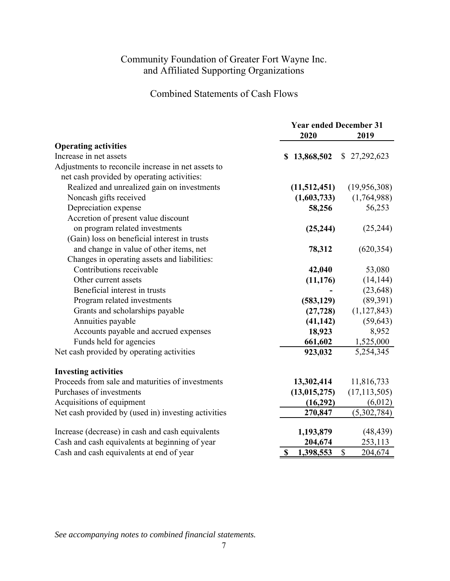Combined Statements of Cash Flows

|                                                     | <b>Year ended December 31</b><br>2020<br>2019 |                |  |
|-----------------------------------------------------|-----------------------------------------------|----------------|--|
|                                                     |                                               |                |  |
| <b>Operating activities</b>                         |                                               |                |  |
| Increase in net assets                              | 13,868,502<br>\$                              | \$27,292,623   |  |
| Adjustments to reconcile increase in net assets to  |                                               |                |  |
| net cash provided by operating activities:          |                                               |                |  |
| Realized and unrealized gain on investments         | (11,512,451)                                  | (19,956,308)   |  |
| Noncash gifts received                              | (1,603,733)                                   | (1,764,988)    |  |
| Depreciation expense                                | 58,256                                        | 56,253         |  |
| Accretion of present value discount                 |                                               |                |  |
| on program related investments                      | (25, 244)                                     | (25, 244)      |  |
| (Gain) loss on beneficial interest in trusts        |                                               |                |  |
| and change in value of other items, net             | 78,312                                        | (620, 354)     |  |
| Changes in operating assets and liabilities:        |                                               |                |  |
| Contributions receivable                            | 42,040                                        | 53,080         |  |
| Other current assets                                | (11, 176)                                     | (14, 144)      |  |
| Beneficial interest in trusts                       |                                               | (23, 648)      |  |
| Program related investments                         | (583, 129)                                    | (89,391)       |  |
| Grants and scholarships payable                     | (27, 728)                                     | (1, 127, 843)  |  |
| Annuities payable                                   | (41, 142)                                     | (59, 643)      |  |
| Accounts payable and accrued expenses               | 18,923                                        | 8,952          |  |
| Funds held for agencies                             | 661,602                                       | 1,525,000      |  |
| Net cash provided by operating activities           | 923,032                                       | 5,254,345      |  |
| <b>Investing activities</b>                         |                                               |                |  |
| Proceeds from sale and maturities of investments    | 13,302,414                                    | 11,816,733     |  |
| Purchases of investments                            | (13, 015, 275)                                | (17, 113, 505) |  |
| Acquisitions of equipment                           | (16,292)                                      | (6,012)        |  |
| Net cash provided by (used in) investing activities | 270,847                                       | (5,302,784)    |  |
| Increase (decrease) in cash and cash equivalents    | 1,193,879                                     | (48, 439)      |  |
| Cash and cash equivalents at beginning of year      | 204,674                                       | 253,113        |  |
| Cash and cash equivalents at end of year            | $\mathbf S$<br>1,398,553                      | \$<br>204,674  |  |

*See accompanying notes to combined financial statements.*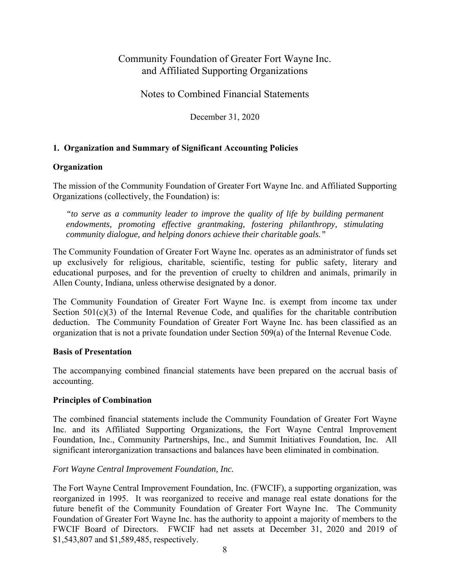Notes to Combined Financial Statements

December 31, 2020

### **1. Organization and Summary of Significant Accounting Policies**

### **Organization**

The mission of the Community Foundation of Greater Fort Wayne Inc. and Affiliated Supporting Organizations (collectively, the Foundation) is:

*"to serve as a community leader to improve the quality of life by building permanent endowments, promoting effective grantmaking, fostering philanthropy, stimulating community dialogue, and helping donors achieve their charitable goals."* 

The Community Foundation of Greater Fort Wayne Inc. operates as an administrator of funds set up exclusively for religious, charitable, scientific, testing for public safety, literary and educational purposes, and for the prevention of cruelty to children and animals, primarily in Allen County, Indiana, unless otherwise designated by a donor.

The Community Foundation of Greater Fort Wayne Inc. is exempt from income tax under Section  $501(c)(3)$  of the Internal Revenue Code, and qualifies for the charitable contribution deduction. The Community Foundation of Greater Fort Wayne Inc. has been classified as an organization that is not a private foundation under Section 509(a) of the Internal Revenue Code.

#### **Basis of Presentation**

The accompanying combined financial statements have been prepared on the accrual basis of accounting.

### **Principles of Combination**

The combined financial statements include the Community Foundation of Greater Fort Wayne Inc. and its Affiliated Supporting Organizations, the Fort Wayne Central Improvement Foundation, Inc., Community Partnerships, Inc., and Summit Initiatives Foundation, Inc. All significant interorganization transactions and balances have been eliminated in combination.

### *Fort Wayne Central Improvement Foundation, Inc.*

The Fort Wayne Central Improvement Foundation, Inc. (FWCIF), a supporting organization, was reorganized in 1995. It was reorganized to receive and manage real estate donations for the future benefit of the Community Foundation of Greater Fort Wayne Inc. The Community Foundation of Greater Fort Wayne Inc. has the authority to appoint a majority of members to the FWCIF Board of Directors. FWCIF had net assets at December 31, 2020 and 2019 of \$1,543,807 and \$1,589,485, respectively.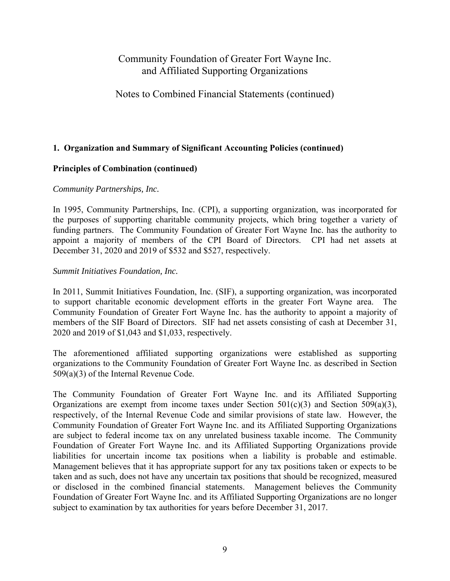### Notes to Combined Financial Statements (continued)

#### **1. Organization and Summary of Significant Accounting Policies (continued)**

#### **Principles of Combination (continued)**

#### *Community Partnerships, Inc.*

In 1995, Community Partnerships, Inc. (CPI), a supporting organization, was incorporated for the purposes of supporting charitable community projects, which bring together a variety of funding partners. The Community Foundation of Greater Fort Wayne Inc. has the authority to appoint a majority of members of the CPI Board of Directors. CPI had net assets at December 31, 2020 and 2019 of \$532 and \$527, respectively.

#### *Summit Initiatives Foundation, Inc.*

In 2011, Summit Initiatives Foundation, Inc. (SIF), a supporting organization, was incorporated to support charitable economic development efforts in the greater Fort Wayne area. The Community Foundation of Greater Fort Wayne Inc. has the authority to appoint a majority of members of the SIF Board of Directors. SIF had net assets consisting of cash at December 31, 2020 and 2019 of \$1,043 and \$1,033, respectively.

The aforementioned affiliated supporting organizations were established as supporting organizations to the Community Foundation of Greater Fort Wayne Inc. as described in Section 509(a)(3) of the Internal Revenue Code.

The Community Foundation of Greater Fort Wayne Inc. and its Affiliated Supporting Organizations are exempt from income taxes under Section  $501(c)(3)$  and Section  $509(a)(3)$ , respectively, of the Internal Revenue Code and similar provisions of state law. However, the Community Foundation of Greater Fort Wayne Inc. and its Affiliated Supporting Organizations are subject to federal income tax on any unrelated business taxable income. The Community Foundation of Greater Fort Wayne Inc. and its Affiliated Supporting Organizations provide liabilities for uncertain income tax positions when a liability is probable and estimable. Management believes that it has appropriate support for any tax positions taken or expects to be taken and as such, does not have any uncertain tax positions that should be recognized, measured or disclosed in the combined financial statements. Management believes the Community Foundation of Greater Fort Wayne Inc. and its Affiliated Supporting Organizations are no longer subject to examination by tax authorities for years before December 31, 2017.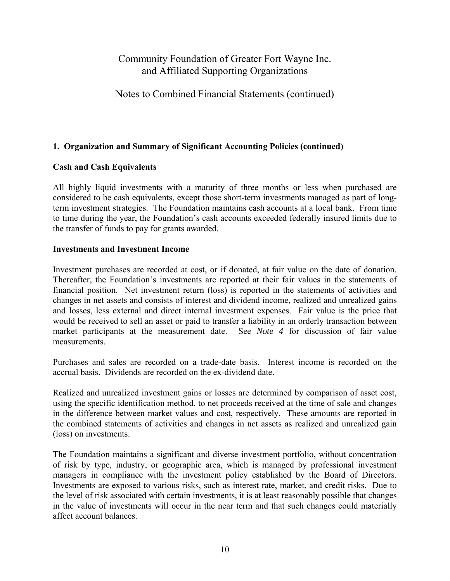## Notes to Combined Financial Statements (continued)

### **1. Organization and Summary of Significant Accounting Policies (continued)**

### **Cash and Cash Equivalents**

All highly liquid investments with a maturity of three months or less when purchased are considered to be cash equivalents, except those short-term investments managed as part of longterm investment strategies. The Foundation maintains cash accounts at a local bank. From time to time during the year, the Foundation's cash accounts exceeded federally insured limits due to the transfer of funds to pay for grants awarded.

### **Investments and Investment Income**

Investment purchases are recorded at cost, or if donated, at fair value on the date of donation. Thereafter, the Foundation's investments are reported at their fair values in the statements of financial position. Net investment return (loss) is reported in the statements of activities and changes in net assets and consists of interest and dividend income, realized and unrealized gains and losses, less external and direct internal investment expenses. Fair value is the price that would be received to sell an asset or paid to transfer a liability in an orderly transaction between market participants at the measurement date. See *Note 4* for discussion of fair value measurements.

Purchases and sales are recorded on a trade-date basis. Interest income is recorded on the accrual basis. Dividends are recorded on the ex-dividend date.

Realized and unrealized investment gains or losses are determined by comparison of asset cost, using the specific identification method, to net proceeds received at the time of sale and changes in the difference between market values and cost, respectively. These amounts are reported in the combined statements of activities and changes in net assets as realized and unrealized gain (loss) on investments.

The Foundation maintains a significant and diverse investment portfolio, without concentration of risk by type, industry, or geographic area, which is managed by professional investment managers in compliance with the investment policy established by the Board of Directors. Investments are exposed to various risks, such as interest rate, market, and credit risks. Due to the level of risk associated with certain investments, it is at least reasonably possible that changes in the value of investments will occur in the near term and that such changes could materially affect account balances.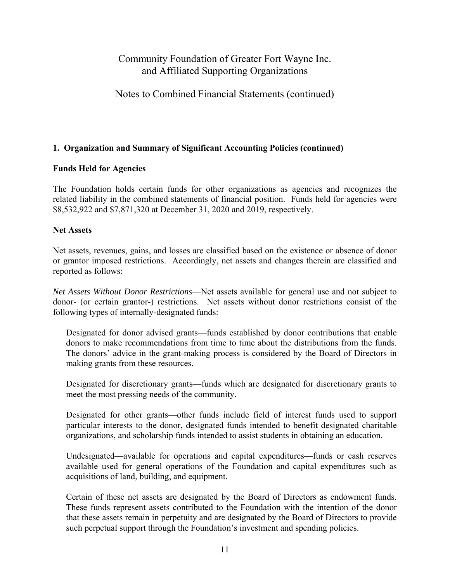## Notes to Combined Financial Statements (continued)

### **1. Organization and Summary of Significant Accounting Policies (continued)**

### **Funds Held for Agencies**

The Foundation holds certain funds for other organizations as agencies and recognizes the related liability in the combined statements of financial position. Funds held for agencies were \$8,532,922 and \$7,871,320 at December 31, 2020 and 2019, respectively.

#### **Net Assets**

Net assets, revenues, gains, and losses are classified based on the existence or absence of donor or grantor imposed restrictions. Accordingly, net assets and changes therein are classified and reported as follows:

*Net Assets Without Donor Restrictions*—Net assets available for general use and not subject to donor- (or certain grantor-) restrictions. Net assets without donor restrictions consist of the following types of internally-designated funds:

Designated for donor advised grants—funds established by donor contributions that enable donors to make recommendations from time to time about the distributions from the funds. The donors' advice in the grant-making process is considered by the Board of Directors in making grants from these resources.

Designated for discretionary grants—funds which are designated for discretionary grants to meet the most pressing needs of the community.

Designated for other grants—other funds include field of interest funds used to support particular interests to the donor, designated funds intended to benefit designated charitable organizations, and scholarship funds intended to assist students in obtaining an education.

Undesignated—available for operations and capital expenditures—funds or cash reserves available used for general operations of the Foundation and capital expenditures such as acquisitions of land, building, and equipment.

Certain of these net assets are designated by the Board of Directors as endowment funds. These funds represent assets contributed to the Foundation with the intention of the donor that these assets remain in perpetuity and are designated by the Board of Directors to provide such perpetual support through the Foundation's investment and spending policies.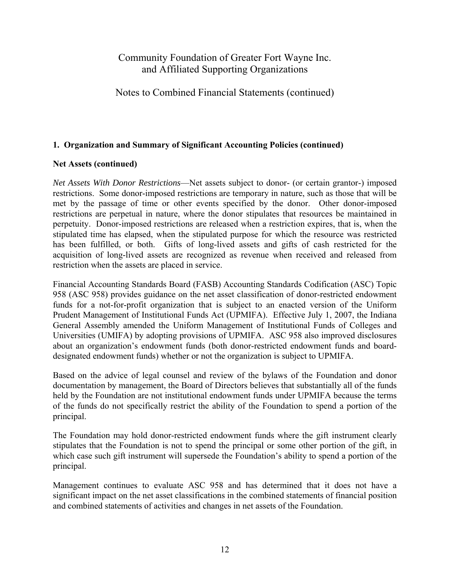## Notes to Combined Financial Statements (continued)

### **1. Organization and Summary of Significant Accounting Policies (continued)**

### **Net Assets (continued)**

*Net Assets With Donor Restrictions*—Net assets subject to donor- (or certain grantor-) imposed restrictions. Some donor-imposed restrictions are temporary in nature, such as those that will be met by the passage of time or other events specified by the donor. Other donor-imposed restrictions are perpetual in nature, where the donor stipulates that resources be maintained in perpetuity. Donor-imposed restrictions are released when a restriction expires, that is, when the stipulated time has elapsed, when the stipulated purpose for which the resource was restricted has been fulfilled, or both. Gifts of long-lived assets and gifts of cash restricted for the acquisition of long-lived assets are recognized as revenue when received and released from restriction when the assets are placed in service.

Financial Accounting Standards Board (FASB) Accounting Standards Codification (ASC) Topic 958 (ASC 958) provides guidance on the net asset classification of donor-restricted endowment funds for a not-for-profit organization that is subject to an enacted version of the Uniform Prudent Management of Institutional Funds Act (UPMIFA). Effective July 1, 2007, the Indiana General Assembly amended the Uniform Management of Institutional Funds of Colleges and Universities (UMIFA) by adopting provisions of UPMIFA. ASC 958 also improved disclosures about an organization's endowment funds (both donor-restricted endowment funds and boarddesignated endowment funds) whether or not the organization is subject to UPMIFA.

Based on the advice of legal counsel and review of the bylaws of the Foundation and donor documentation by management, the Board of Directors believes that substantially all of the funds held by the Foundation are not institutional endowment funds under UPMIFA because the terms of the funds do not specifically restrict the ability of the Foundation to spend a portion of the principal.

The Foundation may hold donor-restricted endowment funds where the gift instrument clearly stipulates that the Foundation is not to spend the principal or some other portion of the gift, in which case such gift instrument will supersede the Foundation's ability to spend a portion of the principal.

Management continues to evaluate ASC 958 and has determined that it does not have a significant impact on the net asset classifications in the combined statements of financial position and combined statements of activities and changes in net assets of the Foundation.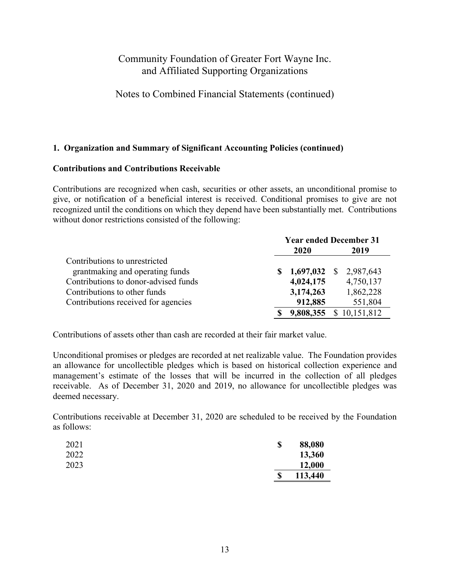Notes to Combined Financial Statements (continued)

### **1. Organization and Summary of Significant Accounting Policies (continued)**

#### **Contributions and Contributions Receivable**

Contributions are recognized when cash, securities or other assets, an unconditional promise to give, or notification of a beneficial interest is received. Conditional promises to give are not recognized until the conditions on which they depend have been substantially met. Contributions without donor restrictions consisted of the following:

|                                      | <b>Year ended December 31</b> |           |                           |  |
|--------------------------------------|-------------------------------|-----------|---------------------------|--|
|                                      |                               | 2020      | 2019                      |  |
| Contributions to unrestricted        |                               |           |                           |  |
| grant making and operating funds     |                               | 1,697,032 | 2,987,643<br><sup>S</sup> |  |
| Contributions to donor-advised funds |                               | 4,024,175 | 4,750,137                 |  |
| Contributions to other funds         |                               | 3,174,263 | 1,862,228                 |  |
| Contributions received for agencies  |                               | 912,885   | 551,804                   |  |
|                                      |                               | 9,808,355 | \$10,151,812              |  |

Contributions of assets other than cash are recorded at their fair market value.

Unconditional promises or pledges are recorded at net realizable value. The Foundation provides an allowance for uncollectible pledges which is based on historical collection experience and management's estimate of the losses that will be incurred in the collection of all pledges receivable. As of December 31, 2020 and 2019, no allowance for uncollectible pledges was deemed necessary.

Contributions receivable at December 31, 2020 are scheduled to be received by the Foundation as follows:

| 2021 | \$<br>88,080  |
|------|---------------|
| 2022 | 13,360        |
| 2023 | 12,000        |
|      | \$<br>113,440 |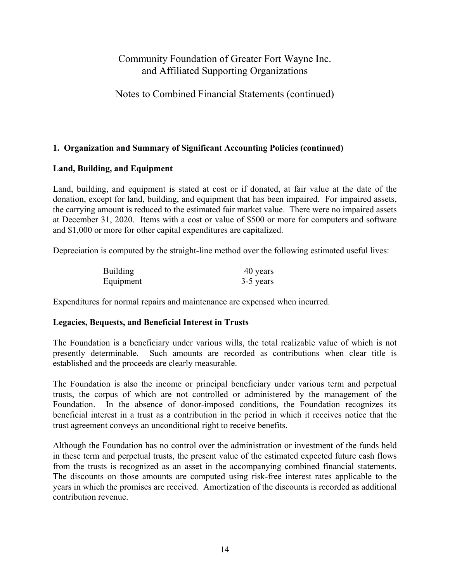## Notes to Combined Financial Statements (continued)

### **1. Organization and Summary of Significant Accounting Policies (continued)**

#### **Land, Building, and Equipment**

Land, building, and equipment is stated at cost or if donated, at fair value at the date of the donation, except for land, building, and equipment that has been impaired. For impaired assets, the carrying amount is reduced to the estimated fair market value. There were no impaired assets at December 31, 2020. Items with a cost or value of \$500 or more for computers and software and \$1,000 or more for other capital expenditures are capitalized.

Depreciation is computed by the straight-line method over the following estimated useful lives:

| <b>Building</b> | 40 years  |
|-----------------|-----------|
| Equipment       | 3-5 years |

Expenditures for normal repairs and maintenance are expensed when incurred.

#### **Legacies, Bequests, and Beneficial Interest in Trusts**

The Foundation is a beneficiary under various wills, the total realizable value of which is not presently determinable. Such amounts are recorded as contributions when clear title is established and the proceeds are clearly measurable.

The Foundation is also the income or principal beneficiary under various term and perpetual trusts, the corpus of which are not controlled or administered by the management of the Foundation. In the absence of donor-imposed conditions, the Foundation recognizes its beneficial interest in a trust as a contribution in the period in which it receives notice that the trust agreement conveys an unconditional right to receive benefits.

Although the Foundation has no control over the administration or investment of the funds held in these term and perpetual trusts, the present value of the estimated expected future cash flows from the trusts is recognized as an asset in the accompanying combined financial statements. The discounts on those amounts are computed using risk-free interest rates applicable to the years in which the promises are received. Amortization of the discounts is recorded as additional contribution revenue.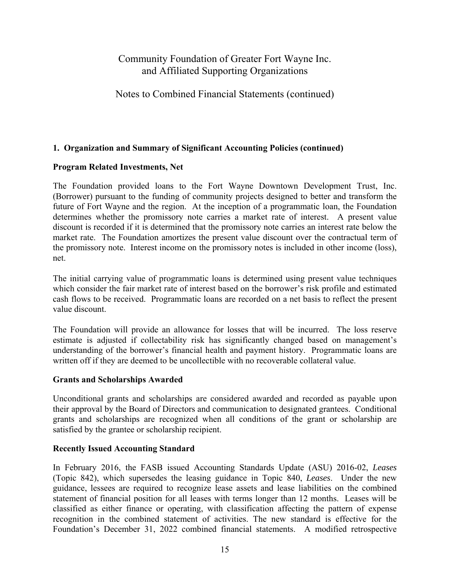## Notes to Combined Financial Statements (continued)

### **1. Organization and Summary of Significant Accounting Policies (continued)**

### **Program Related Investments, Net**

The Foundation provided loans to the Fort Wayne Downtown Development Trust, Inc. (Borrower) pursuant to the funding of community projects designed to better and transform the future of Fort Wayne and the region. At the inception of a programmatic loan, the Foundation determines whether the promissory note carries a market rate of interest. A present value discount is recorded if it is determined that the promissory note carries an interest rate below the market rate. The Foundation amortizes the present value discount over the contractual term of the promissory note. Interest income on the promissory notes is included in other income (loss), net.

The initial carrying value of programmatic loans is determined using present value techniques which consider the fair market rate of interest based on the borrower's risk profile and estimated cash flows to be received. Programmatic loans are recorded on a net basis to reflect the present value discount.

The Foundation will provide an allowance for losses that will be incurred. The loss reserve estimate is adjusted if collectability risk has significantly changed based on management's understanding of the borrower's financial health and payment history. Programmatic loans are written off if they are deemed to be uncollectible with no recoverable collateral value.

### **Grants and Scholarships Awarded**

Unconditional grants and scholarships are considered awarded and recorded as payable upon their approval by the Board of Directors and communication to designated grantees. Conditional grants and scholarships are recognized when all conditions of the grant or scholarship are satisfied by the grantee or scholarship recipient.

### **Recently Issued Accounting Standard**

In February 2016, the FASB issued Accounting Standards Update (ASU) 2016-02, *Leases* (Topic 842), which supersedes the leasing guidance in Topic 840, *Leases*. Under the new guidance, lessees are required to recognize lease assets and lease liabilities on the combined statement of financial position for all leases with terms longer than 12 months. Leases will be classified as either finance or operating, with classification affecting the pattern of expense recognition in the combined statement of activities. The new standard is effective for the Foundation's December 31, 2022 combined financial statements. A modified retrospective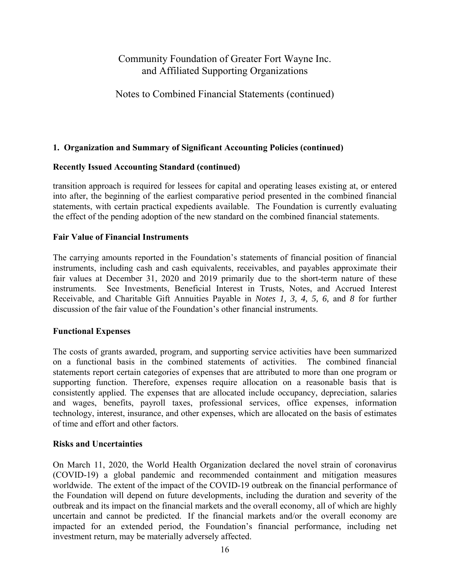## Notes to Combined Financial Statements (continued)

### **1. Organization and Summary of Significant Accounting Policies (continued)**

### **Recently Issued Accounting Standard (continued)**

transition approach is required for lessees for capital and operating leases existing at, or entered into after, the beginning of the earliest comparative period presented in the combined financial statements, with certain practical expedients available. The Foundation is currently evaluating the effect of the pending adoption of the new standard on the combined financial statements.

#### **Fair Value of Financial Instruments**

The carrying amounts reported in the Foundation's statements of financial position of financial instruments, including cash and cash equivalents, receivables, and payables approximate their fair values at December 31, 2020 and 2019 primarily due to the short-term nature of these instruments. See Investments, Beneficial Interest in Trusts, Notes, and Accrued Interest Receivable, and Charitable Gift Annuities Payable in *Notes 1, 3, 4, 5, 6,* and *8* for further discussion of the fair value of the Foundation's other financial instruments.

#### **Functional Expenses**

The costs of grants awarded, program, and supporting service activities have been summarized on a functional basis in the combined statements of activities. The combined financial statements report certain categories of expenses that are attributed to more than one program or supporting function. Therefore, expenses require allocation on a reasonable basis that is consistently applied. The expenses that are allocated include occupancy, depreciation, salaries and wages, benefits, payroll taxes, professional services, office expenses, information technology, interest, insurance, and other expenses, which are allocated on the basis of estimates of time and effort and other factors.

#### **Risks and Uncertainties**

On March 11, 2020, the World Health Organization declared the novel strain of coronavirus (COVID-19) a global pandemic and recommended containment and mitigation measures worldwide. The extent of the impact of the COVID-19 outbreak on the financial performance of the Foundation will depend on future developments, including the duration and severity of the outbreak and its impact on the financial markets and the overall economy, all of which are highly uncertain and cannot be predicted. If the financial markets and/or the overall economy are impacted for an extended period, the Foundation's financial performance, including net investment return, may be materially adversely affected.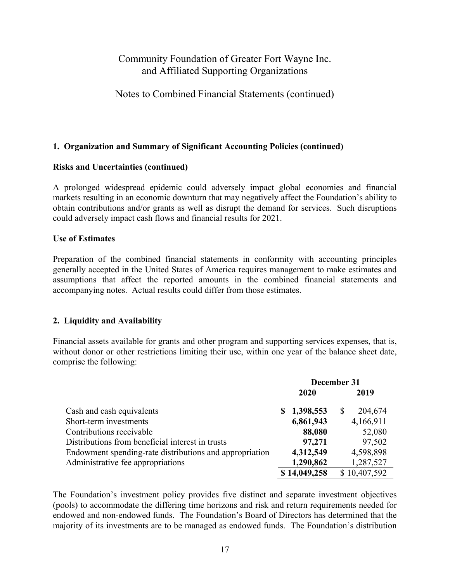## Notes to Combined Financial Statements (continued)

### **1. Organization and Summary of Significant Accounting Policies (continued)**

### **Risks and Uncertainties (continued)**

A prolonged widespread epidemic could adversely impact global economies and financial markets resulting in an economic downturn that may negatively affect the Foundation's ability to obtain contributions and/or grants as well as disrupt the demand for services. Such disruptions could adversely impact cash flows and financial results for 2021.

### **Use of Estimates**

Preparation of the combined financial statements in conformity with accounting principles generally accepted in the United States of America requires management to make estimates and assumptions that affect the reported amounts in the combined financial statements and accompanying notes. Actual results could differ from those estimates.

### **2. Liquidity and Availability**

Financial assets available for grants and other program and supporting services expenses, that is, without donor or other restrictions limiting their use, within one year of the balance sheet date, comprise the following:

|                                                         | December 31 |              |   |              |
|---------------------------------------------------------|-------------|--------------|---|--------------|
|                                                         |             | 2020         |   | 2019         |
| Cash and cash equivalents                               |             | \$1,398,553  | S | 204,674      |
| Short-term investments                                  |             | 6,861,943    |   | 4,166,911    |
| Contributions receivable                                |             | 88,080       |   | 52,080       |
| Distributions from beneficial interest in trusts        |             | 97,271       |   | 97,502       |
| Endowment spending-rate distributions and appropriation |             | 4,312,549    |   | 4,598,898    |
| Administrative fee appropriations                       |             | 1,290,862    |   | 1,287,527    |
|                                                         |             | \$14,049,258 |   | \$10,407,592 |

The Foundation's investment policy provides five distinct and separate investment objectives (pools) to accommodate the differing time horizons and risk and return requirements needed for endowed and non-endowed funds. The Foundation's Board of Directors has determined that the majority of its investments are to be managed as endowed funds. The Foundation's distribution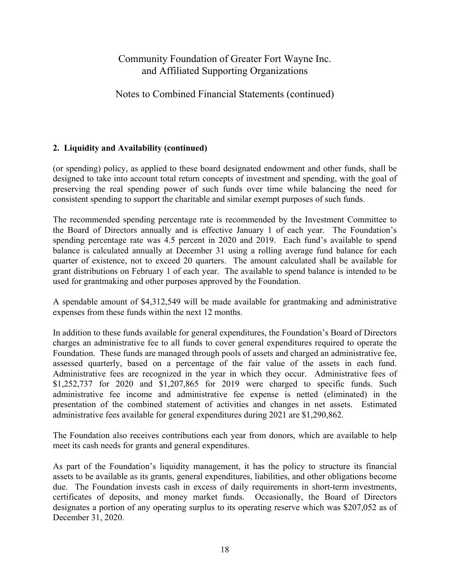# Notes to Combined Financial Statements (continued)

### **2. Liquidity and Availability (continued)**

(or spending) policy, as applied to these board designated endowment and other funds, shall be designed to take into account total return concepts of investment and spending, with the goal of preserving the real spending power of such funds over time while balancing the need for consistent spending to support the charitable and similar exempt purposes of such funds.

The recommended spending percentage rate is recommended by the Investment Committee to the Board of Directors annually and is effective January 1 of each year. The Foundation's spending percentage rate was 4.5 percent in 2020 and 2019. Each fund's available to spend balance is calculated annually at December 31 using a rolling average fund balance for each quarter of existence, not to exceed 20 quarters. The amount calculated shall be available for grant distributions on February 1 of each year. The available to spend balance is intended to be used for grantmaking and other purposes approved by the Foundation.

A spendable amount of \$4,312,549 will be made available for grantmaking and administrative expenses from these funds within the next 12 months.

In addition to these funds available for general expenditures, the Foundation's Board of Directors charges an administrative fee to all funds to cover general expenditures required to operate the Foundation. These funds are managed through pools of assets and charged an administrative fee, assessed quarterly, based on a percentage of the fair value of the assets in each fund. Administrative fees are recognized in the year in which they occur. Administrative fees of \$1,252,737 for 2020 and \$1,207,865 for 2019 were charged to specific funds. Such administrative fee income and administrative fee expense is netted (eliminated) in the presentation of the combined statement of activities and changes in net assets. Estimated administrative fees available for general expenditures during 2021 are \$1,290,862.

The Foundation also receives contributions each year from donors, which are available to help meet its cash needs for grants and general expenditures.

As part of the Foundation's liquidity management, it has the policy to structure its financial assets to be available as its grants, general expenditures, liabilities, and other obligations become due. The Foundation invests cash in excess of daily requirements in short-term investments, certificates of deposits, and money market funds. Occasionally, the Board of Directors designates a portion of any operating surplus to its operating reserve which was \$207,052 as of December 31, 2020.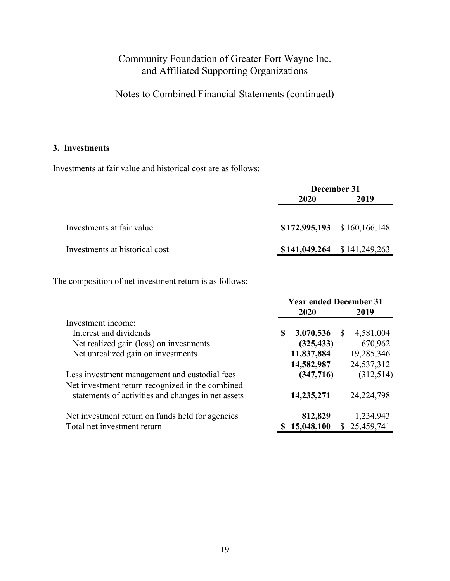Notes to Combined Financial Statements (continued)

### **3. Investments**

Investments at fair value and historical cost are as follows:

|                                | December 31 |                               |  |  |  |
|--------------------------------|-------------|-------------------------------|--|--|--|
|                                | 2020        | 2019                          |  |  |  |
|                                |             |                               |  |  |  |
| Investments at fair value      |             | $$172,995,193$ $$160,166,148$ |  |  |  |
| Investments at historical cost |             | $$141,049,264$ $$141,249,263$ |  |  |  |
|                                |             |                               |  |  |  |

The composition of net investment return is as follows:

|                                                                                                        | <b>Year ended December 31</b> |            |          |              |
|--------------------------------------------------------------------------------------------------------|-------------------------------|------------|----------|--------------|
|                                                                                                        |                               | 2020       |          | 2019         |
| Investment income:                                                                                     |                               |            |          |              |
| Interest and dividends                                                                                 | S                             | 3,070,536  | <b>S</b> | 4,581,004    |
| Net realized gain (loss) on investments                                                                |                               | (325, 433) |          | 670,962      |
| Net unrealized gain on investments                                                                     |                               | 11,837,884 |          | 19,285,346   |
|                                                                                                        |                               | 14,582,987 |          | 24,537,312   |
| Less investment management and custodial fees                                                          |                               | (347, 716) |          | (312,514)    |
| Net investment return recognized in the combined<br>statements of activities and changes in net assets |                               | 14,235,271 |          | 24, 224, 798 |
| Net investment return on funds held for agencies                                                       |                               | 812,829    |          | 1,234,943    |
| Total net investment return                                                                            |                               | 15,048,100 |          | 25,459,741   |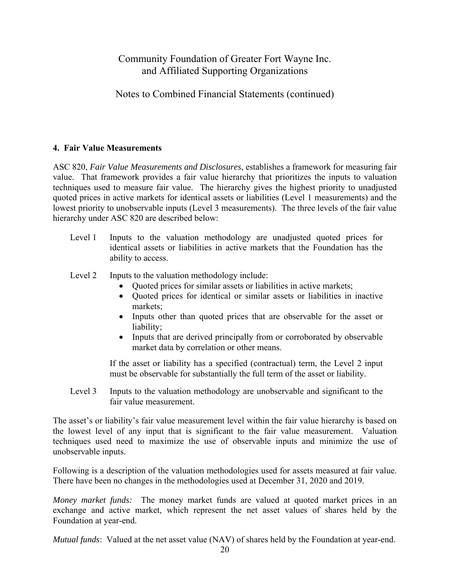# Notes to Combined Financial Statements (continued)

### **4. Fair Value Measurements**

ASC 820, *Fair Value Measurements and Disclosures*, establishes a framework for measuring fair value. That framework provides a fair value hierarchy that prioritizes the inputs to valuation techniques used to measure fair value. The hierarchy gives the highest priority to unadjusted quoted prices in active markets for identical assets or liabilities (Level 1 measurements) and the lowest priority to unobservable inputs (Level 3 measurements). The three levels of the fair value hierarchy under ASC 820 are described below:

- Level 1 Inputs to the valuation methodology are unadjusted quoted prices for identical assets or liabilities in active markets that the Foundation has the ability to access.
- Level 2 Inputs to the valuation methodology include:
	- Quoted prices for similar assets or liabilities in active markets;
	- Quoted prices for identical or similar assets or liabilities in inactive markets;
	- Inputs other than quoted prices that are observable for the asset or liability;
	- Inputs that are derived principally from or corroborated by observable market data by correlation or other means.

If the asset or liability has a specified (contractual) term, the Level 2 input must be observable for substantially the full term of the asset or liability.

Level 3 Inputs to the valuation methodology are unobservable and significant to the fair value measurement.

The asset's or liability's fair value measurement level within the fair value hierarchy is based on the lowest level of any input that is significant to the fair value measurement. Valuation techniques used need to maximize the use of observable inputs and minimize the use of unobservable inputs.

Following is a description of the valuation methodologies used for assets measured at fair value. There have been no changes in the methodologies used at December 31, 2020 and 2019.

*Money market funds:* The money market funds are valued at quoted market prices in an exchange and active market, which represent the net asset values of shares held by the Foundation at year-end.

*Mutual funds*: Valued at the net asset value (NAV) of shares held by the Foundation at year-end.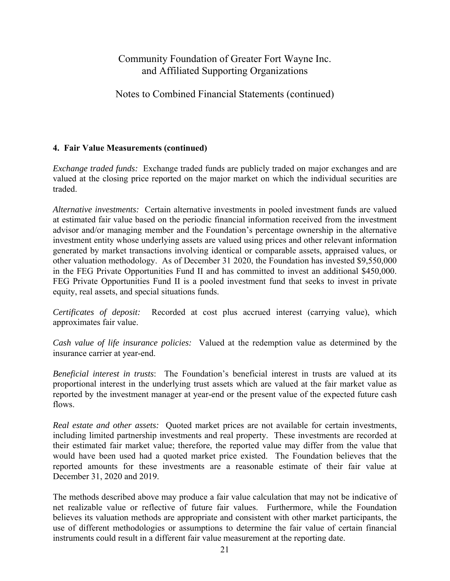## Notes to Combined Financial Statements (continued)

### **4. Fair Value Measurements (continued)**

*Exchange traded funds:* Exchange traded funds are publicly traded on major exchanges and are valued at the closing price reported on the major market on which the individual securities are traded.

*Alternative investments:* Certain alternative investments in pooled investment funds are valued at estimated fair value based on the periodic financial information received from the investment advisor and/or managing member and the Foundation's percentage ownership in the alternative investment entity whose underlying assets are valued using prices and other relevant information generated by market transactions involving identical or comparable assets, appraised values, or other valuation methodology. As of December 31 2020, the Foundation has invested \$9,550,000 in the FEG Private Opportunities Fund II and has committed to invest an additional \$450,000. FEG Private Opportunities Fund II is a pooled investment fund that seeks to invest in private equity, real assets, and special situations funds.

*Certificates of deposit:* Recorded at cost plus accrued interest (carrying value), which approximates fair value.

*Cash value of life insurance policies:* Valued at the redemption value as determined by the insurance carrier at year-end.

*Beneficial interest in trusts*: The Foundation's beneficial interest in trusts are valued at its proportional interest in the underlying trust assets which are valued at the fair market value as reported by the investment manager at year-end or the present value of the expected future cash flows.

*Real estate and other assets:* Quoted market prices are not available for certain investments, including limited partnership investments and real property. These investments are recorded at their estimated fair market value; therefore, the reported value may differ from the value that would have been used had a quoted market price existed. The Foundation believes that the reported amounts for these investments are a reasonable estimate of their fair value at December 31, 2020 and 2019.

The methods described above may produce a fair value calculation that may not be indicative of net realizable value or reflective of future fair values. Furthermore, while the Foundation believes its valuation methods are appropriate and consistent with other market participants, the use of different methodologies or assumptions to determine the fair value of certain financial instruments could result in a different fair value measurement at the reporting date.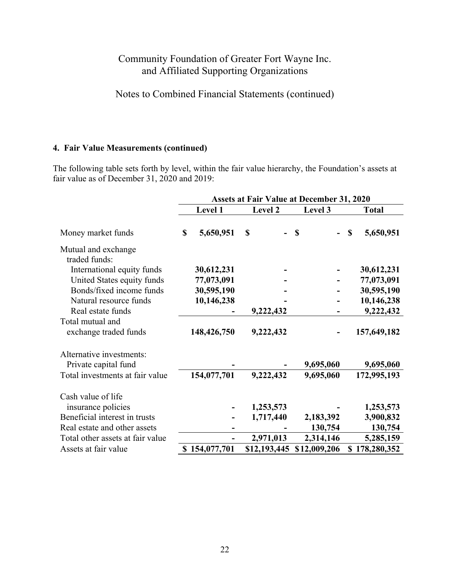Notes to Combined Financial Statements (continued)

### **4. Fair Value Measurements (continued)**

The following table sets forth by level, within the fair value hierarchy, the Foundation's assets at fair value as of December 31, 2020 and 2019:

|                                  | <b>Assets at Fair Value at December 31, 2020</b> |               |              |               |    |              |
|----------------------------------|--------------------------------------------------|---------------|--------------|---------------|----|--------------|
|                                  |                                                  | Level 1       | Level 2      | Level 3       |    | <b>Total</b> |
| Money market funds               | \$                                               | 5,650,951     | \$           | <sup>\$</sup> | \$ | 5,650,951    |
| Mutual and exchange              |                                                  |               |              |               |    |              |
| traded funds:                    |                                                  |               |              |               |    |              |
| International equity funds       |                                                  | 30,612,231    |              |               |    | 30,612,231   |
| United States equity funds       |                                                  | 77,073,091    |              |               |    | 77,073,091   |
| Bonds/fixed income funds         |                                                  | 30,595,190    |              |               |    | 30,595,190   |
| Natural resource funds           |                                                  | 10,146,238    |              |               |    | 10,146,238   |
| Real estate funds                |                                                  |               | 9,222,432    |               |    | 9,222,432    |
| Total mutual and                 |                                                  |               |              |               |    |              |
| exchange traded funds            |                                                  | 148,426,750   | 9,222,432    |               |    | 157,649,182  |
| Alternative investments:         |                                                  |               |              |               |    |              |
| Private capital fund             |                                                  |               |              | 9,695,060     |    | 9,695,060    |
| Total investments at fair value  |                                                  | 154,077,701   | 9,222,432    | 9,695,060     |    | 172,995,193  |
| Cash value of life               |                                                  |               |              |               |    |              |
| insurance policies               |                                                  |               | 1,253,573    |               |    | 1,253,573    |
| Beneficial interest in trusts    |                                                  |               | 1,717,440    | 2,183,392     |    | 3,900,832    |
| Real estate and other assets     |                                                  |               |              | 130,754       |    | 130,754      |
| Total other assets at fair value |                                                  |               | 2,971,013    | 2,314,146     |    | 5,285,159    |
| Assets at fair value             |                                                  | \$154,077,701 | \$12,193,445 | \$12,009,206  |    | 178,280,352  |
|                                  |                                                  |               |              |               |    |              |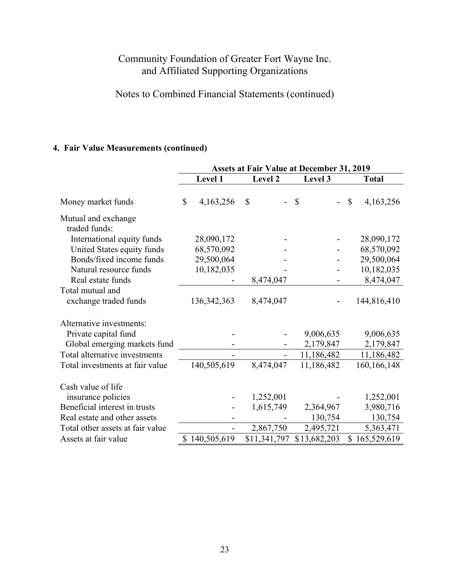# Notes to Combined Financial Statements (continued)

# **4. Fair Value Measurements (continued)**

|                                           | <b>Assets at Fair Value at December 31, 2019</b> |               |              |               |                           |
|-------------------------------------------|--------------------------------------------------|---------------|--------------|---------------|---------------------------|
|                                           |                                                  | Level 1       | Level 2      | Level 3       | <b>Total</b>              |
| Money market funds                        | \$                                               | 4,163,256     | \$           | $\mathcal{S}$ | $\mathbb{S}$<br>4,163,256 |
| Mutual and exchange<br>traded funds:      |                                                  |               |              |               |                           |
| International equity funds                |                                                  | 28,090,172    |              |               | 28,090,172                |
| United States equity funds                |                                                  | 68,570,092    |              |               | 68,570,092                |
| Bonds/fixed income funds                  |                                                  | 29,500,064    |              |               | 29,500,064                |
| Natural resource funds                    |                                                  | 10,182,035    |              |               | 10,182,035                |
| Real estate funds                         |                                                  |               | 8,474,047    |               | 8,474,047                 |
| Total mutual and<br>exchange traded funds |                                                  | 136, 342, 363 | 8,474,047    |               | 144,816,410               |
| Alternative investments:                  |                                                  |               |              |               |                           |
| Private capital fund                      |                                                  |               |              | 9,006,635     | 9,006,635                 |
| Global emerging markets fund              |                                                  |               |              | 2,179,847     | 2,179,847                 |
| Total alternative investments             |                                                  |               |              | 11,186,482    | 11,186,482                |
| Total investments at fair value           |                                                  | 140,505,619   | 8,474,047    | 11,186,482    | 160, 166, 148             |
| Cash value of life                        |                                                  |               |              |               |                           |
| insurance policies                        |                                                  |               | 1,252,001    |               | 1,252,001                 |
| Beneficial interest in trusts             |                                                  |               | 1,615,749    | 2,364,967     | 3,980,716                 |
| Real estate and other assets              |                                                  |               |              | 130,754       | 130,754                   |
| Total other assets at fair value          |                                                  |               | 2,867,750    | 2,495,721     | 5,363,471                 |
| Assets at fair value                      |                                                  | \$140,505,619 | \$11,341,797 | \$13,682,203  | \$165,529,619             |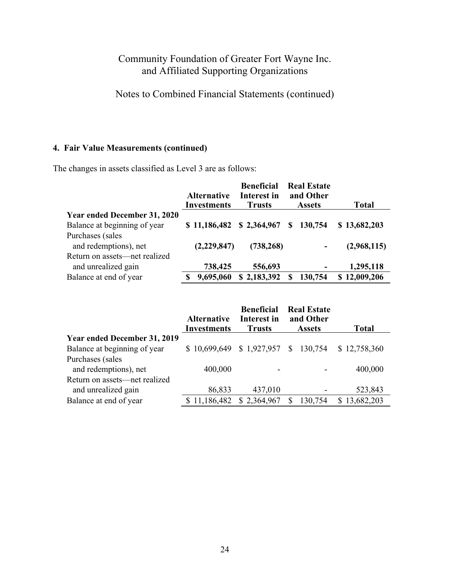# Notes to Combined Financial Statements (continued)

## **4. Fair Value Measurements (continued)**

The changes in assets classified as Level 3 are as follows:

|                                     | <b>Alternative</b><br><b>Investments</b> | <b>Beneficial</b><br>Interest in<br><b>Trusts</b> | <b>Real Estate</b><br>and Other<br><b>Assets</b> | <b>Total</b> |
|-------------------------------------|------------------------------------------|---------------------------------------------------|--------------------------------------------------|--------------|
| <b>Year ended December 31, 2020</b> |                                          |                                                   |                                                  |              |
| Balance at beginning of year        | \$11,186,482                             | \$2,364,967                                       | 130,754<br>S.                                    | \$13,682,203 |
| Purchases (sales                    |                                          |                                                   |                                                  |              |
| and redemptions), net               | (2,229,847)                              | (738, 268)                                        |                                                  | (2,968,115)  |
| Return on assets—net realized       |                                          |                                                   |                                                  |              |
| and unrealized gain                 | 738,425                                  | 556,693                                           |                                                  | 1,295,118    |
| Balance at end of year              | 9,695,060                                | \$2,183,392                                       | 130,754                                          | \$12,009,206 |

|                                     | <b>Alternative</b> | <b>Beneficial</b><br>Interest in |    | <b>Real Estate</b><br>and Other |              |
|-------------------------------------|--------------------|----------------------------------|----|---------------------------------|--------------|
|                                     | <b>Investments</b> | <b>Trusts</b>                    |    | <b>Assets</b>                   | <b>Total</b> |
| <b>Year ended December 31, 2019</b> |                    |                                  |    |                                 |              |
| Balance at beginning of year        | \$10,699,649       | \$1,927,957                      |    | \$130,754                       | \$12,758,360 |
| Purchases (sales                    |                    |                                  |    |                                 |              |
| and redemptions), net               | 400,000            |                                  |    |                                 | 400,000      |
| Return on assets—net realized       |                    |                                  |    |                                 |              |
| and unrealized gain                 | 86,833             | 437,010                          |    |                                 | 523,843      |
| Balance at end of year              | \$11,186,482       | \$2,364,967                      | S. | 130,754                         | \$13,682,203 |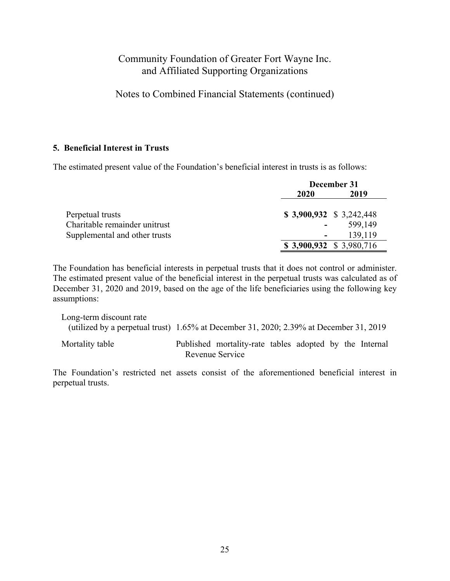Notes to Combined Financial Statements (continued)

### **5. Beneficial Interest in Trusts**

The estimated present value of the Foundation's beneficial interest in trusts is as follows:

|                               | December 31 |                          |  |  |
|-------------------------------|-------------|--------------------------|--|--|
|                               | 2020        | 2019                     |  |  |
| Perpetual trusts              |             | $$3,900,932 \$3,242,448$ |  |  |
| Charitable remainder unitrust |             | 599,149                  |  |  |
| Supplemental and other trusts |             | 139,119                  |  |  |
|                               |             | $$3,900,932 \$3,980,716$ |  |  |

The Foundation has beneficial interests in perpetual trusts that it does not control or administer. The estimated present value of the beneficial interest in the perpetual trusts was calculated as of December 31, 2020 and 2019, based on the age of the life beneficiaries using the following key assumptions:

Long-term discount rate (utilized by a perpetual trust) 1.65% at December 31, 2020; 2.39% at December 31, 2019 Mortality table Published mortality-rate tables adopted by the Internal Revenue Service

The Foundation's restricted net assets consist of the aforementioned beneficial interest in perpetual trusts.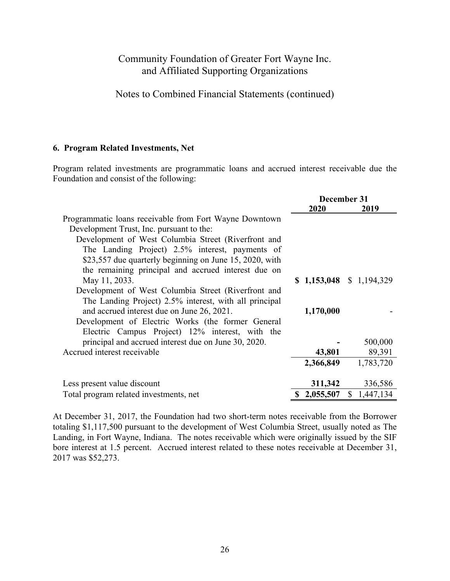Notes to Combined Financial Statements (continued)

#### **6. Program Related Investments, Net**

Program related investments are programmatic loans and accrued interest receivable due the Foundation and consist of the following:

|                                                         |                 | December 31               |
|---------------------------------------------------------|-----------------|---------------------------|
|                                                         | 2020            | 2019                      |
| Programmatic loans receivable from Fort Wayne Downtown  |                 |                           |
| Development Trust, Inc. pursuant to the:                |                 |                           |
| Development of West Columbia Street (Riverfront and     |                 |                           |
| The Landing Project) 2.5% interest, payments of         |                 |                           |
| \$23,557 due quarterly beginning on June 15, 2020, with |                 |                           |
| the remaining principal and accrued interest due on     |                 |                           |
| May 11, 2033.                                           |                 | $$1,153,048 \$1,194,329$  |
| Development of West Columbia Street (Riverfront and     |                 |                           |
| The Landing Project) 2.5% interest, with all principal  |                 |                           |
| and accrued interest due on June 26, 2021.              | 1,170,000       |                           |
| Development of Electric Works (the former General       |                 |                           |
| Electric Campus Project) 12% interest, with the         |                 |                           |
| principal and accrued interest due on June 30, 2020.    |                 | 500,000                   |
| Accrued interest receivable                             | 43,801          | 89,391                    |
|                                                         | 2,366,849       | 1,783,720                 |
|                                                         |                 |                           |
| Less present value discount                             | 311,342         | 336,586                   |
| Total program related investments, net                  | 2,055,507<br>S. | $\mathbb{S}$<br>1,447,134 |

At December 31, 2017, the Foundation had two short-term notes receivable from the Borrower totaling \$1,117,500 pursuant to the development of West Columbia Street, usually noted as The Landing, in Fort Wayne, Indiana. The notes receivable which were originally issued by the SIF bore interest at 1.5 percent. Accrued interest related to these notes receivable at December 31, 2017 was \$52,273.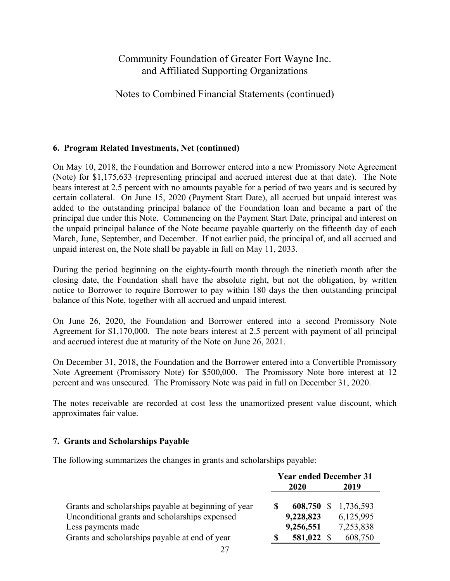## Notes to Combined Financial Statements (continued)

### **6. Program Related Investments, Net (continued)**

On May 10, 2018, the Foundation and Borrower entered into a new Promissory Note Agreement (Note) for \$1,175,633 (representing principal and accrued interest due at that date). The Note bears interest at 2.5 percent with no amounts payable for a period of two years and is secured by certain collateral. On June 15, 2020 (Payment Start Date), all accrued but unpaid interest was added to the outstanding principal balance of the Foundation loan and became a part of the principal due under this Note. Commencing on the Payment Start Date, principal and interest on the unpaid principal balance of the Note became payable quarterly on the fifteenth day of each March, June, September, and December. If not earlier paid, the principal of, and all accrued and unpaid interest on, the Note shall be payable in full on May 11, 2033.

During the period beginning on the eighty-fourth month through the ninetieth month after the closing date, the Foundation shall have the absolute right, but not the obligation, by written notice to Borrower to require Borrower to pay within 180 days the then outstanding principal balance of this Note, together with all accrued and unpaid interest.

On June 26, 2020, the Foundation and Borrower entered into a second Promissory Note Agreement for \$1,170,000. The note bears interest at 2.5 percent with payment of all principal and accrued interest due at maturity of the Note on June 26, 2021.

On December 31, 2018, the Foundation and the Borrower entered into a Convertible Promissory Note Agreement (Promissory Note) for \$500,000. The Promissory Note bore interest at 12 percent and was unsecured. The Promissory Note was paid in full on December 31, 2020.

The notes receivable are recorded at cost less the unamortized present value discount, which approximates fair value.

### **7. Grants and Scholarships Payable**

The following summarizes the changes in grants and scholarships payable:

|                                                      | <b>Year ended December 31</b> |           |          |           |
|------------------------------------------------------|-------------------------------|-----------|----------|-----------|
|                                                      | 2020                          |           |          | 2019      |
| Grants and scholarships payable at beginning of year |                               | 608,750   | <b>S</b> | 1,736,593 |
| Unconditional grants and scholarships expensed       |                               | 9,228,823 |          | 6,125,995 |
| Less payments made                                   |                               | 9,256,551 |          | 7,253,838 |
| Grants and scholarships payable at end of year       |                               | 581,022   |          | 608,750   |
|                                                      |                               |           |          |           |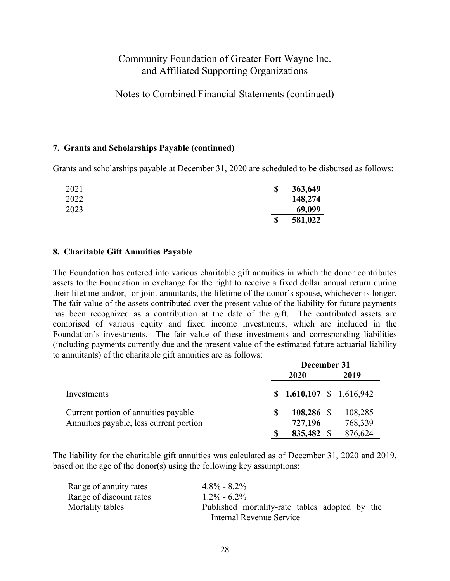Notes to Combined Financial Statements (continued)

#### **7. Grants and Scholarships Payable (continued)**

Grants and scholarships payable at December 31, 2020 are scheduled to be disbursed as follows:

| 2021 | $\mathbf{\$}$ | 363,649 |
|------|---------------|---------|
| 2022 |               | 148,274 |
| 2023 |               | 69,099  |
|      | \$            | 581,022 |

#### **8. Charitable Gift Annuities Payable**

The Foundation has entered into various charitable gift annuities in which the donor contributes assets to the Foundation in exchange for the right to receive a fixed dollar annual return during their lifetime and/or, for joint annuitants, the lifetime of the donor's spouse, whichever is longer. The fair value of the assets contributed over the present value of the liability for future payments has been recognized as a contribution at the date of the gift. The contributed assets are comprised of various equity and fixed income investments, which are included in the Foundation's investments. The fair value of these investments and corresponding liabilities (including payments currently due and the present value of the estimated future actuarial liability to annuitants) of the charitable gift annuities are as follows:

|                                         | December 31 |                        |  |         |
|-----------------------------------------|-------------|------------------------|--|---------|
|                                         |             | 2020                   |  | 2019    |
| Investments                             |             | 1,610,107 \$ 1,616,942 |  |         |
| Current portion of annuities payable    |             | 108,286 \$             |  | 108,285 |
| Annuities payable, less current portion |             | 727,196                |  | 768,339 |
|                                         |             | 835,482 \$             |  | 876,624 |

The liability for the charitable gift annuities was calculated as of December 31, 2020 and 2019, based on the age of the donor(s) using the following key assumptions:

| Range of annuity rates  | $4.8\% - 8.2\%$                                                            |
|-------------------------|----------------------------------------------------------------------------|
| Range of discount rates | $1.2\% - 6.2\%$                                                            |
| Mortality tables        | Published mortality-rate tables adopted by the<br>Internal Revenue Service |
|                         |                                                                            |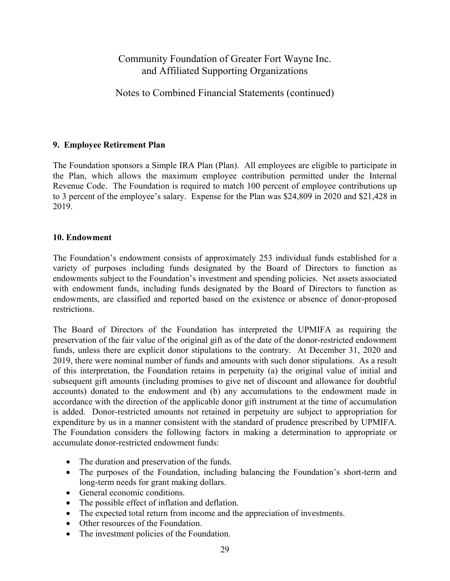Notes to Combined Financial Statements (continued)

### **9. Employee Retirement Plan**

The Foundation sponsors a Simple IRA Plan (Plan). All employees are eligible to participate in the Plan, which allows the maximum employee contribution permitted under the Internal Revenue Code. The Foundation is required to match 100 percent of employee contributions up to 3 percent of the employee's salary. Expense for the Plan was \$24,809 in 2020 and \$21,428 in 2019.

### **10. Endowment**

The Foundation's endowment consists of approximately 253 individual funds established for a variety of purposes including funds designated by the Board of Directors to function as endowments subject to the Foundation's investment and spending policies. Net assets associated with endowment funds, including funds designated by the Board of Directors to function as endowments, are classified and reported based on the existence or absence of donor-proposed restrictions.

The Board of Directors of the Foundation has interpreted the UPMIFA as requiring the preservation of the fair value of the original gift as of the date of the donor-restricted endowment funds, unless there are explicit donor stipulations to the contrary. At December 31, 2020 and 2019, there were nominal number of funds and amounts with such donor stipulations. As a result of this interpretation, the Foundation retains in perpetuity (a) the original value of initial and subsequent gift amounts (including promises to give net of discount and allowance for doubtful accounts) donated to the endowment and (b) any accumulations to the endowment made in accordance with the direction of the applicable donor gift instrument at the time of accumulation is added. Donor-restricted amounts not retained in perpetuity are subject to appropriation for expenditure by us in a manner consistent with the standard of prudence prescribed by UPMIFA. The Foundation considers the following factors in making a determination to appropriate or accumulate donor-restricted endowment funds:

- The duration and preservation of the funds.
- The purposes of the Foundation, including balancing the Foundation's short-term and long-term needs for grant making dollars.
- General economic conditions.
- The possible effect of inflation and deflation.
- The expected total return from income and the appreciation of investments.
- Other resources of the Foundation.
- The investment policies of the Foundation.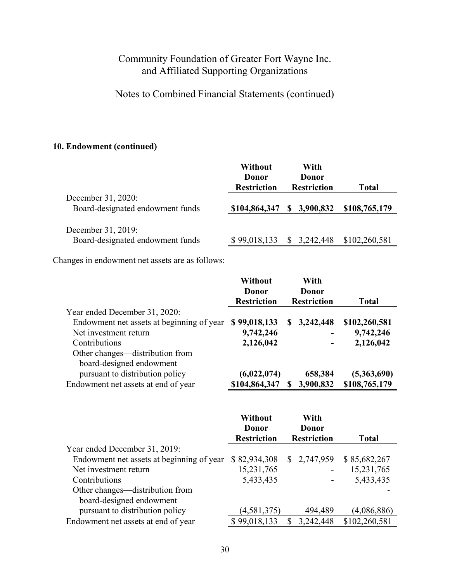Notes to Combined Financial Statements (continued)

### **10. Endowment (continued)**

|                                                        | Without<br>Donor<br><b>Restriction</b> | With<br>Donor<br><b>Restriction</b> | Total         |
|--------------------------------------------------------|----------------------------------------|-------------------------------------|---------------|
| December 31, 2020:<br>Board-designated endowment funds | \$104,864,347                          | \$3,900,832                         | \$108,765,179 |
| December 31, 2019:<br>Board-designated endowment funds | \$99,018,133                           | \$3,242,448                         | \$102,260,581 |

Changes in endowment net assets are as follows:

|                                           | Without<br>Donor   | With<br>Donor |                    |               |
|-------------------------------------------|--------------------|---------------|--------------------|---------------|
|                                           | <b>Restriction</b> |               | <b>Restriction</b> | Total         |
| Year ended December 31, 2020:             |                    |               |                    |               |
| Endowment net assets at beginning of year | \$99,018,133       | S.            | 3,242,448          | \$102,260,581 |
| Net investment return                     | 9,742,246          |               | -                  | 9,742,246     |
| Contributions                             | 2,126,042          |               |                    | 2,126,042     |
| Other changes—distribution from           |                    |               |                    |               |
| board-designed endowment                  |                    |               |                    |               |
| pursuant to distribution policy           | (6,022,074)        |               | 658,384            | (5,363,690)   |
| Endowment net assets at end of year       | \$104,864,347      |               | 3,900,832          | \$108,765,179 |

|                                           | Without<br>Donor<br><b>Restriction</b> | With<br>Donor<br><b>Restriction</b> | <b>Total</b>  |
|-------------------------------------------|----------------------------------------|-------------------------------------|---------------|
| Year ended December 31, 2019:             |                                        |                                     |               |
| Endowment net assets at beginning of year | \$82,934,308                           | \$2,747,959                         | \$85,682,267  |
| Net investment return                     | 15,231,765                             |                                     | 15,231,765    |
| Contributions                             | 5,433,435                              |                                     | 5,433,435     |
| Other changes—distribution from           |                                        |                                     |               |
| board-designed endowment                  |                                        |                                     |               |
| pursuant to distribution policy           | (4,581,375)                            | 494,489                             | (4,086,886)   |
| Endowment net assets at end of year       | \$99,018,133                           | 3,242,448<br>£.                     | \$102,260,581 |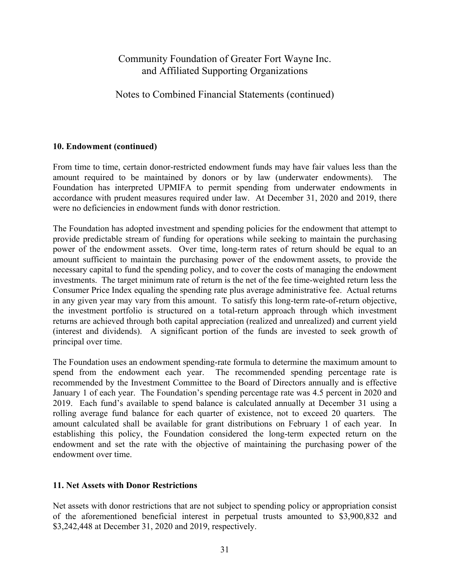## Notes to Combined Financial Statements (continued)

### **10. Endowment (continued)**

From time to time, certain donor-restricted endowment funds may have fair values less than the amount required to be maintained by donors or by law (underwater endowments). The Foundation has interpreted UPMIFA to permit spending from underwater endowments in accordance with prudent measures required under law. At December 31, 2020 and 2019, there were no deficiencies in endowment funds with donor restriction.

The Foundation has adopted investment and spending policies for the endowment that attempt to provide predictable stream of funding for operations while seeking to maintain the purchasing power of the endowment assets. Over time, long-term rates of return should be equal to an amount sufficient to maintain the purchasing power of the endowment assets, to provide the necessary capital to fund the spending policy, and to cover the costs of managing the endowment investments. The target minimum rate of return is the net of the fee time-weighted return less the Consumer Price Index equaling the spending rate plus average administrative fee. Actual returns in any given year may vary from this amount. To satisfy this long-term rate-of-return objective, the investment portfolio is structured on a total-return approach through which investment returns are achieved through both capital appreciation (realized and unrealized) and current yield (interest and dividends). A significant portion of the funds are invested to seek growth of principal over time.

The Foundation uses an endowment spending-rate formula to determine the maximum amount to spend from the endowment each year. The recommended spending percentage rate is recommended by the Investment Committee to the Board of Directors annually and is effective January 1 of each year. The Foundation's spending percentage rate was 4.5 percent in 2020 and 2019. Each fund's available to spend balance is calculated annually at December 31 using a rolling average fund balance for each quarter of existence, not to exceed 20 quarters. The amount calculated shall be available for grant distributions on February 1 of each year. In establishing this policy, the Foundation considered the long-term expected return on the endowment and set the rate with the objective of maintaining the purchasing power of the endowment over time.

#### **11. Net Assets with Donor Restrictions**

Net assets with donor restrictions that are not subject to spending policy or appropriation consist of the aforementioned beneficial interest in perpetual trusts amounted to \$3,900,832 and \$3,242,448 at December 31, 2020 and 2019, respectively.